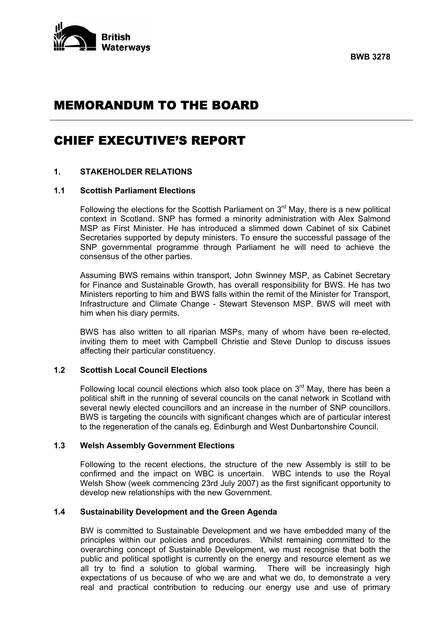



# MEMORANDUM TO THE BOARD

## CHIEF EXECUTIVE'S REPORT

## **1. STAKEHOLDER RELATIONS**

## **1.1 Scottish Parliament Elections**

Following the elections for the Scottish Parliament on  $3<sup>rd</sup>$  May, there is a new political context in Scotland. SNP has formed a minority administration with Alex Salmond MSP as First Minister. He has introduced a slimmed down Cabinet of six Cabinet Secretaries supported by deputy ministers. To ensure the successful passage of the SNP governmental programme through Parliament he will need to achieve the consensus of the other parties.

 Assuming BWS remains within transport, John Swinney MSP, as Cabinet Secretary for Finance and Sustainable Growth, has overall responsibility for BWS. He has two Ministers reporting to him and BWS falls within the remit of the Minister for Transport, Infrastructure and Climate Change - Stewart Stevenson MSP. BWS will meet with him when his diary permits.

 BWS has also written to all riparian MSPs, many of whom have been re-elected, inviting them to meet with Campbell Christie and Steve Dunlop to discuss issues affecting their particular constituency.

### **1.2 Scottish Local Council Elections**

Following local council elections which also took place on  $3<sup>rd</sup>$  May, there has been a political shift in the running of several councils on the canal network in Scotland with several newly elected councillors and an increase in the number of SNP councillors. BWS is targeting the councils with significant changes which are of particular interest to the regeneration of the canals eg. Edinburgh and West Dunbartonshire Council.

## **1.3 Welsh Assembly Government Elections**

 Following to the recent elections, the structure of the new Assembly is still to be confirmed and the impact on WBC is uncertain. WBC intends to use the Royal Welsh Show (week commencing 23rd July 2007) as the first significant opportunity to develop new relationships with the new Government.

#### **1.4 Sustainability Development and the Green Agenda**

 BW is committed to Sustainable Development and we have embedded many of the principles within our policies and procedures. Whilst remaining committed to the overarching concept of Sustainable Development, we must recognise that both the public and political spotlight is currently on the energy and resource element as we all try to find a solution to global warming. There will be increasingly high expectations of us because of who we are and what we do, to demonstrate a very real and practical contribution to reducing our energy use and use of primary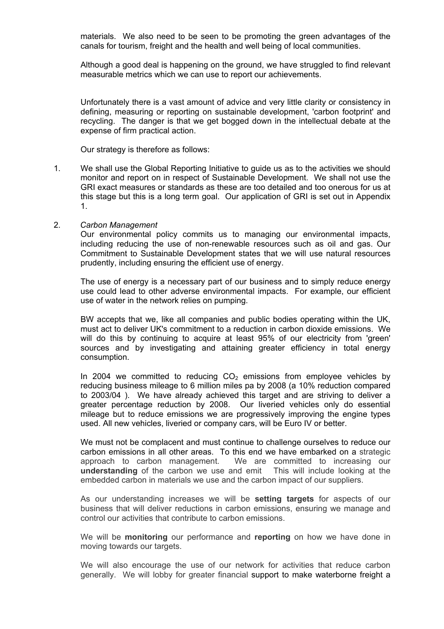materials. We also need to be seen to be promoting the green advantages of the canals for tourism, freight and the health and well being of local communities.

 Although a good deal is happening on the ground, we have struggled to find relevant measurable metrics which we can use to report our achievements.

 Unfortunately there is a vast amount of advice and very little clarity or consistency in defining, measuring or reporting on sustainable development, 'carbon footprint' and recycling. The danger is that we get bogged down in the intellectual debate at the expense of firm practical action.

Our strategy is therefore as follows:

1. We shall use the Global Reporting Initiative to guide us as to the activities we should monitor and report on in respect of Sustainable Development. We shall not use the GRI exact measures or standards as these are too detailed and too onerous for us at this stage but this is a long term goal. Our application of GRI is set out in Appendix 1.

## 2. *Carbon Management*

 Our environmental policy commits us to managing our environmental impacts, including reducing the use of non-renewable resources such as oil and gas. Our Commitment to Sustainable Development states that we will use natural resources prudently, including ensuring the efficient use of energy.

 The use of energy is a necessary part of our business and to simply reduce energy use could lead to other adverse environmental impacts. For example, our efficient use of water in the network relies on pumping.

 BW accepts that we, like all companies and public bodies operating within the UK, must act to deliver UK's commitment to a reduction in carbon dioxide emissions. We will do this by continuing to acquire at least 95% of our electricity from 'green' sources and by investigating and attaining greater efficiency in total energy consumption.

In 2004 we committed to reducing  $CO<sub>2</sub>$  emissions from employee vehicles by reducing business mileage to 6 million miles pa by 2008 (a 10% reduction compared to 2003/04 ). We have already achieved this target and are striving to deliver a greater percentage reduction by 2008. Our liveried vehicles only do essential mileage but to reduce emissions we are progressively improving the engine types used. All new vehicles, liveried or company cars, will be Euro IV or better.

 We must not be complacent and must continue to challenge ourselves to reduce our carbon emissions in all other areas. To this end we have embarked on a strategic approach to carbon management. We are committed to increasing our **understanding** of the carbon we use and emit This will include looking at the embedded carbon in materials we use and the carbon impact of our suppliers.

 As our understanding increases we will be **setting targets** for aspects of our business that will deliver reductions in carbon emissions, ensuring we manage and control our activities that contribute to carbon emissions.

 We will be **monitoring** our performance and **reporting** on how we have done in moving towards our targets.

 We will also encourage the use of our network for activities that reduce carbon generally. We will lobby for greater financial support to make waterborne freight a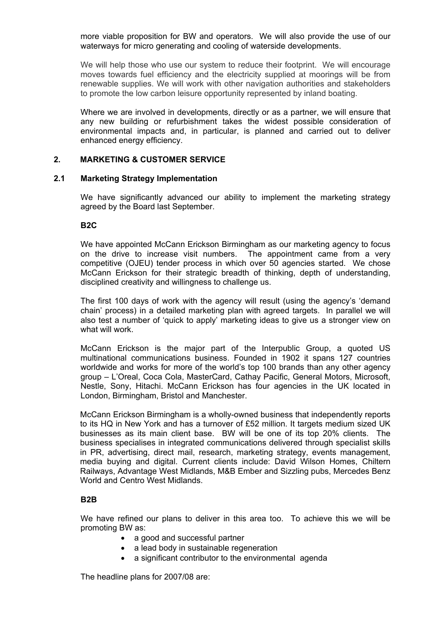more viable proposition for BW and operators. We will also provide the use of our waterways for micro generating and cooling of waterside developments.

 We will help those who use our system to reduce their footprint. We will encourage moves towards fuel efficiency and the electricity supplied at moorings will be from renewable supplies. We will work with other navigation authorities and stakeholders to promote the low carbon leisure opportunity represented by inland boating.

 Where we are involved in developments, directly or as a partner, we will ensure that any new building or refurbishment takes the widest possible consideration of environmental impacts and, in particular, is planned and carried out to deliver enhanced energy efficiency.

#### **2. MARKETING & CUSTOMER SERVICE**

#### **2.1 Marketing Strategy Implementation**

 We have significantly advanced our ability to implement the marketing strategy agreed by the Board last September.

#### **B2C**

 We have appointed McCann Erickson Birmingham as our marketing agency to focus on the drive to increase visit numbers. The appointment came from a very competitive (OJEU) tender process in which over 50 agencies started. We chose McCann Erickson for their strategic breadth of thinking, depth of understanding, disciplined creativity and willingness to challenge us.

 The first 100 days of work with the agency will result (using the agency's 'demand chain' process) in a detailed marketing plan with agreed targets. In parallel we will also test a number of 'quick to apply' marketing ideas to give us a stronger view on what will work.

 McCann Erickson is the major part of the Interpublic Group, a quoted US multinational communications business. Founded in 1902 it spans 127 countries worldwide and works for more of the world's top 100 brands than any other agency group – L'Oreal, Coca Cola, MasterCard, Cathay Pacific, General Motors, Microsoft, Nestle, Sony, Hitachi. McCann Erickson has four agencies in the UK located in London, Birmingham, Bristol and Manchester.

 McCann Erickson Birmingham is a wholly-owned business that independently reports to its HQ in New York and has a turnover of £52 million. It targets medium sized UK businesses as its main client base. BW will be one of its top 20% clients. The business specialises in integrated communications delivered through specialist skills in PR, advertising, direct mail, research, marketing strategy, events management, media buying and digital. Current clients include: David Wilson Homes, Chiltern Railways, Advantage West Midlands, M&B Ember and Sizzling pubs, Mercedes Benz World and Centro West Midlands.

#### **B2B**

 We have refined our plans to deliver in this area too. To achieve this we will be promoting BW as:

- a good and successful partner
- a lead body in sustainable regeneration
- a significant contributor to the environmental agenda

The headline plans for 2007/08 are: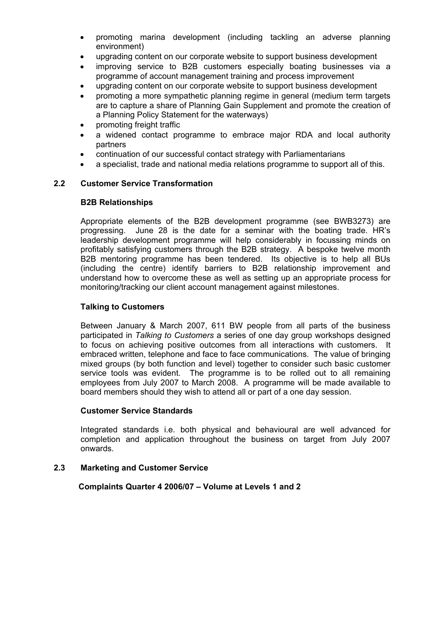- promoting marina development (including tackling an adverse planning environment)
- upgrading content on our corporate website to support business development
- improving service to B2B customers especially boating businesses via a programme of account management training and process improvement
- upgrading content on our corporate website to support business development
- promoting a more sympathetic planning regime in general (medium term targets are to capture a share of Planning Gain Supplement and promote the creation of a Planning Policy Statement for the waterways)
- promoting freight traffic
- a widened contact programme to embrace major RDA and local authority partners
- continuation of our successful contact strategy with Parliamentarians
- a specialist, trade and national media relations programme to support all of this.

#### **2.2 Customer Service Transformation**

#### **B2B Relationships**

 Appropriate elements of the B2B development programme (see BWB3273) are progressing. June 28 is the date for a seminar with the boating trade. HR's leadership development programme will help considerably in focussing minds on profitably satisfying customers through the B2B strategy. A bespoke twelve month B2B mentoring programme has been tendered. Its objective is to help all BUs (including the centre) identify barriers to B2B relationship improvement and understand how to overcome these as well as setting up an appropriate process for monitoring/tracking our client account management against milestones.

#### **Talking to Customers**

 Between January & March 2007, 611 BW people from all parts of the business participated in *Talking to Customers* a series of one day group workshops designed to focus on achieving positive outcomes from all interactions with customers. It embraced written, telephone and face to face communications. The value of bringing mixed groups (by both function and level) together to consider such basic customer service tools was evident. The programme is to be rolled out to all remaining employees from July 2007 to March 2008. A programme will be made available to board members should they wish to attend all or part of a one day session.

#### **Customer Service Standards**

 Integrated standards i.e. both physical and behavioural are well advanced for completion and application throughout the business on target from July 2007 onwards.

#### **2.3 Marketing and Customer Service**

 **Complaints Quarter 4 2006/07 – Volume at Levels 1 and 2**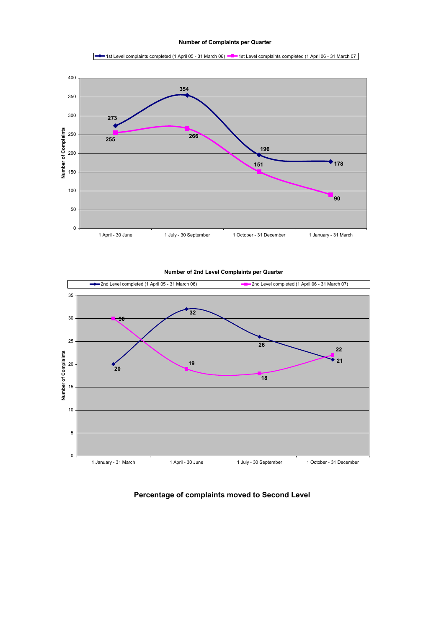**Number of Complaints per Quarter**

1st Level complaints completed (1 April 05 - 31 March 06) <sup>-1</sup>st Level complaints completed (1 April 06 - 31 March 07



**Number of 2nd Level Complaints per Quarter**



## **Percentage of complaints moved to Second Level**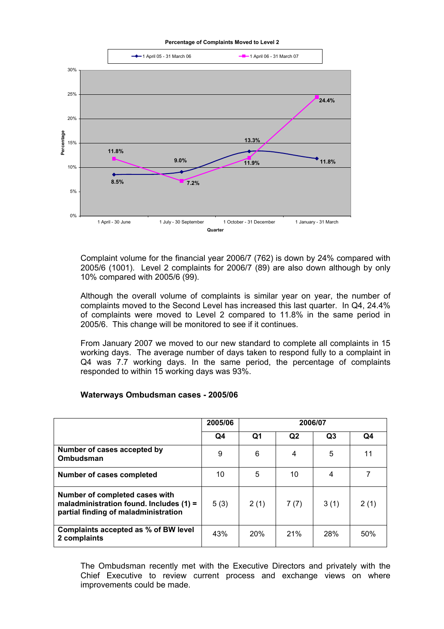

 Complaint volume for the financial year 2006/7 (762) is down by 24% compared with 2005/6 (1001). Level 2 complaints for 2006/7 (89) are also down although by only 10% compared with 2005/6 (99).

 Although the overall volume of complaints is similar year on year, the number of complaints moved to the Second Level has increased this last quarter. In Q4, 24.4% of complaints were moved to Level 2 compared to 11.8% in the same period in 2005/6. This change will be monitored to see if it continues.

 From January 2007 we moved to our new standard to complete all complaints in 15 working days. The average number of days taken to respond fully to a complaint in Q4 was 7.7 working days. In the same period, the percentage of complaints responded to within 15 working days was 93%.

|  |  | Waterways Ombudsman cases - 2005/06 |
|--|--|-------------------------------------|
|--|--|-------------------------------------|

|                                                                                                                     | 2005/06 | 2006/07 |                |                |      |  |
|---------------------------------------------------------------------------------------------------------------------|---------|---------|----------------|----------------|------|--|
|                                                                                                                     | Q4      | Q1      | Q <sub>2</sub> | Q <sub>3</sub> | Q4   |  |
| Number of cases accepted by<br>Ombudsman                                                                            | 9       | 6       | 4              | 5              | 11   |  |
| Number of cases completed                                                                                           | 10      | 5       | 10             | 4              |      |  |
| Number of completed cases with<br>maladministration found. Includes $(1)$ =<br>partial finding of maladministration | 5(3)    | 2(1)    | 7(7)           | 3(1)           | 2(1) |  |
| Complaints accepted as % of BW level<br>2 complaints                                                                | 43%     | 20%     | 21%            | 28%            | 50%  |  |

 The Ombudsman recently met with the Executive Directors and privately with the Chief Executive to review current process and exchange views on where improvements could be made.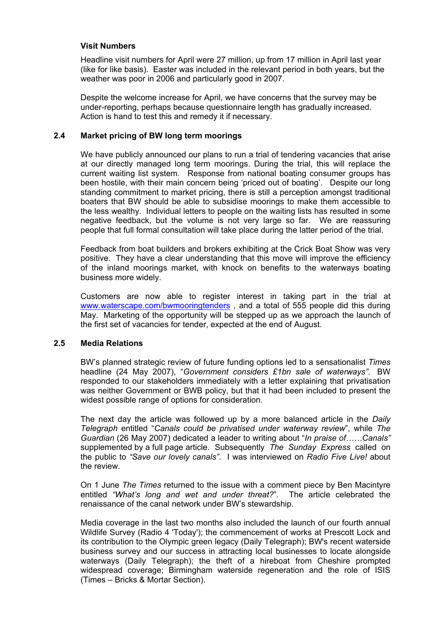## **Visit Numbers**

 Headline visit numbers for April were 27 million, up from 17 million in April last year (like for like basis). Easter was included in the relevant period in both years, but the weather was poor in 2006 and particularly good in 2007.

 Despite the welcome increase for April, we have concerns that the survey may be under-reporting, perhaps because questionnaire length has gradually increased. Action is hand to test this and remedy it if necessary.

## **2.4 Market pricing of BW long term moorings**

 We have publicly announced our plans to run a trial of tendering vacancies that arise at our directly managed long term moorings. During the trial, this will replace the current waiting list system. Response from national boating consumer groups has been hostile, with their main concern being 'priced out of boating'. Despite our long standing commitment to market pricing, there is still a perception amongst traditional boaters that BW should be able to subsidise moorings to make them accessible to the less wealthy. Individual letters to people on the waiting lists has resulted in some negative feedback, but the volume is not very large so far. We are reassuring people that full formal consultation will take place during the latter period of the trial.

 Feedback from boat builders and brokers exhibiting at the Crick Boat Show was very positive. They have a clear understanding that this move will improve the efficiency of the inland moorings market, with knock on benefits to the waterways boating business more widely.

 Customers are now able to register interest in taking part in the trial at www.waterscape.com/bwmooringtenders, and a total of 555 people did this during May. Marketing of the opportunity will be stepped up as we approach the launch of the first set of vacancies for tender, expected at the end of August.

## **2.5 Media Relations**

 BW's planned strategic review of future funding options led to a sensationalist *Times* headline (24 May 2007), "*Government considers £1bn sale of waterways"*. BW responded to our stakeholders immediately with a letter explaining that privatisation was neither Government or BWB policy, but that it had been included to present the widest possible range of options for consideration.

 The next day the article was followed up by a more balanced article in the *Daily Telegraph* entitled "*Canals could be privatised under waterway review*", while *The Guardian* (26 May 2007) dedicated a leader to writing about "*In praise of……Canals"* supplemented by a full page article. Subsequently *The Sunday Express* called on the public to *"Save our lovely canals"*. I was interviewed on *Radio Five Live!* about the review.

 On 1 June *The Times* returned to the issue with a comment piece by Ben Macintyre entitled *"What's long and wet and under threat?*". The article celebrated the renaissance of the canal network under BW's stewardship.

 Media coverage in the last two months also included the launch of our fourth annual Wildlife Survey (Radio 4 'Today'); the commencement of works at Prescott Lock and its contribution to the Olympic green legacy (Daily Telegraph); BW's recent waterside business survey and our success in attracting local businesses to locate alongside waterways (Daily Telegraph); the theft of a hireboat from Cheshire prompted widespread coverage; Birmingham waterside regeneration and the role of ISIS (Times – Bricks & Mortar Section).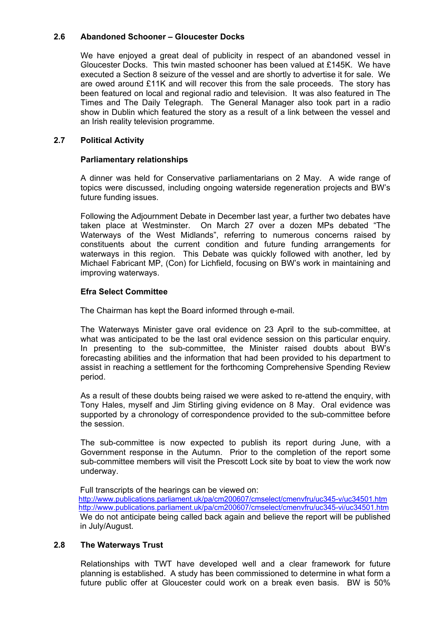## **2.6 Abandoned Schooner – Gloucester Docks**

 We have enjoyed a great deal of publicity in respect of an abandoned vessel in Gloucester Docks. This twin masted schooner has been valued at £145K. We have executed a Section 8 seizure of the vessel and are shortly to advertise it for sale. We are owed around £11K and will recover this from the sale proceeds. The story has been featured on local and regional radio and television. It was also featured in The Times and The Daily Telegraph. The General Manager also took part in a radio show in Dublin which featured the story as a result of a link between the vessel and an Irish reality television programme.

## **2.7 Political Activity**

## **Parliamentary relationships**

 A dinner was held for Conservative parliamentarians on 2 May. A wide range of topics were discussed, including ongoing waterside regeneration projects and BW's future funding issues.

 Following the Adjournment Debate in December last year, a further two debates have taken place at Westminster. On March 27 over a dozen MPs debated "The Waterways of the West Midlands", referring to numerous concerns raised by constituents about the current condition and future funding arrangements for waterways in this region. This Debate was quickly followed with another, led by Michael Fabricant MP, (Con) for Lichfield, focusing on BW's work in maintaining and improving waterways.

## **Efra Select Committee**

The Chairman has kept the Board informed through e-mail.

 The Waterways Minister gave oral evidence on 23 April to the sub-committee, at what was anticipated to be the last oral evidence session on this particular enquiry. In presenting to the sub-committee, the Minister raised doubts about BW's forecasting abilities and the information that had been provided to his department to assist in reaching a settlement for the forthcoming Comprehensive Spending Review period.

 As a result of these doubts being raised we were asked to re-attend the enquiry, with Tony Hales, myself and Jim Stirling giving evidence on 8 May. Oral evidence was supported by a chronology of correspondence provided to the sub-committee before the session.

 The sub-committee is now expected to publish its report during June, with a Government response in the Autumn. Prior to the completion of the report some sub-committee members will visit the Prescott Lock site by boat to view the work now underway.

Full transcripts of the hearings can be viewed on:

 http://www.publications.parliament.uk/pa/cm200607/cmselect/cmenvfru/uc345-v/uc34501.htm http://www.publications.parliament.uk/pa/cm200607/cmselect/cmenvfru/uc345-vi/uc34501.htm We do not anticipate being called back again and believe the report will be published in July/August.

## **2.8 The Waterways Trust**

 Relationships with TWT have developed well and a clear framework for future planning is established. A study has been commissioned to determine in what form a future public offer at Gloucester could work on a break even basis. BW is 50%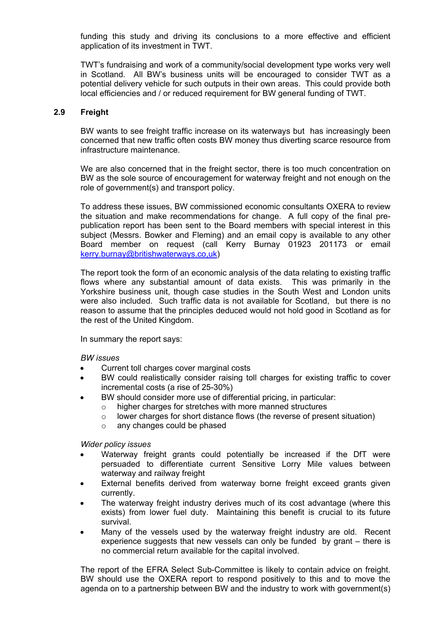funding this study and driving its conclusions to a more effective and efficient application of its investment in TWT.

 TWT's fundraising and work of a community/social development type works very well in Scotland. All BW's business units will be encouraged to consider TWT as a potential delivery vehicle for such outputs in their own areas. This could provide both local efficiencies and / or reduced requirement for BW general funding of TWT.

## **2.9 Freight**

 BW wants to see freight traffic increase on its waterways but has increasingly been concerned that new traffic often costs BW money thus diverting scarce resource from infrastructure maintenance.

 We are also concerned that in the freight sector, there is too much concentration on BW as the sole source of encouragement for waterway freight and not enough on the role of government(s) and transport policy.

 To address these issues, BW commissioned economic consultants OXERA to review the situation and make recommendations for change. A full copy of the final prepublication report has been sent to the Board members with special interest in this subject (Messrs. Bowker and Fleming) and an email copy is available to any other Board member on request (call Kerry Burnay 01923 201173 or email kerry.burnay@britishwaterways.co,uk)

 The report took the form of an economic analysis of the data relating to existing traffic flows where any substantial amount of data exists. This was primarily in the Yorkshire business unit, though case studies in the South West and London units were also included. Such traffic data is not available for Scotland, but there is no reason to assume that the principles deduced would not hold good in Scotland as for the rest of the United Kingdom.

In summary the report says:

#### *BW issues*

- Current toll charges cover marginal costs
- BW could realistically consider raising toll charges for existing traffic to cover incremental costs (a rise of 25-30%)
- BW should consider more use of differential pricing, in particular:
	- $\circ$  higher charges for stretches with more manned structures
	- o lower charges for short distance flows (the reverse of present situation)
	- o any changes could be phased

 *Wider policy issues* 

- Waterway freight grants could potentially be increased if the DfT were persuaded to differentiate current Sensitive Lorry Mile values between waterway and railway freight
- External benefits derived from waterway borne freight exceed grants given currently.
- The waterway freight industry derives much of its cost advantage (where this exists) from lower fuel duty. Maintaining this benefit is crucial to its future survival.
- Many of the vessels used by the waterway freight industry are old. Recent experience suggests that new vessels can only be funded by grant – there is no commercial return available for the capital involved.

 The report of the EFRA Select Sub-Committee is likely to contain advice on freight. BW should use the OXERA report to respond positively to this and to move the agenda on to a partnership between BW and the industry to work with government(s)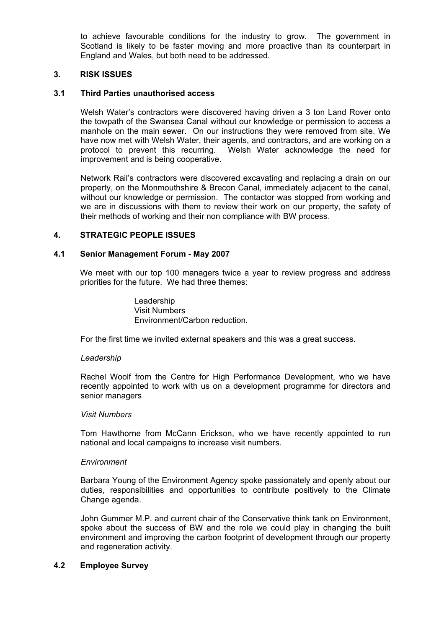to achieve favourable conditions for the industry to grow. The government in Scotland is likely to be faster moving and more proactive than its counterpart in England and Wales, but both need to be addressed.

## **3. RISK ISSUES**

#### **3.1 Third Parties unauthorised access**

Welsh Water's contractors were discovered having driven a 3 ton Land Rover onto the towpath of the Swansea Canal without our knowledge or permission to access a manhole on the main sewer. On our instructions they were removed from site. We have now met with Welsh Water, their agents, and contractors, and are working on a protocol to prevent this recurring. Welsh Water acknowledge the need for improvement and is being cooperative.

Network Rail's contractors were discovered excavating and replacing a drain on our property, on the Monmouthshire & Brecon Canal, immediately adjacent to the canal, without our knowledge or permission. The contactor was stopped from working and we are in discussions with them to review their work on our property, the safety of their methods of working and their non compliance with BW process.

## **4. STRATEGIC PEOPLE ISSUES**

## **4.1 Senior Management Forum - May 2007**

 We meet with our top 100 managers twice a year to review progress and address priorities for the future. We had three themes:

> Leadership Visit Numbers Environment/Carbon reduction.

For the first time we invited external speakers and this was a great success.

#### *Leadership*

 Rachel Woolf from the Centre for High Performance Development, who we have recently appointed to work with us on a development programme for directors and senior managers

#### *Visit Numbers*

 Tom Hawthorne from McCann Erickson, who we have recently appointed to run national and local campaigns to increase visit numbers.

#### *Environment*

 Barbara Young of the Environment Agency spoke passionately and openly about our duties, responsibilities and opportunities to contribute positively to the Climate Change agenda.

 John Gummer M.P. and current chair of the Conservative think tank on Environment, spoke about the success of BW and the role we could play in changing the built environment and improving the carbon footprint of development through our property and regeneration activity.

#### **4.2 Employee Survey**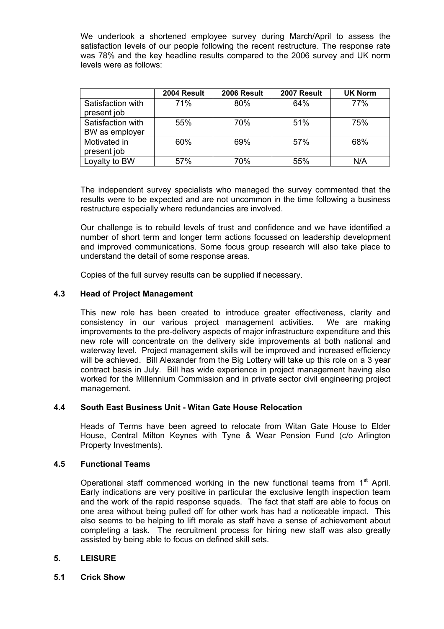We undertook a shortened employee survey during March/April to assess the satisfaction levels of our people following the recent restructure. The response rate was 78% and the key headline results compared to the 2006 survey and UK norm levels were as follows:

|                                     | 2004 Result | 2006 Result | 2007 Result | <b>UK Norm</b> |
|-------------------------------------|-------------|-------------|-------------|----------------|
| Satisfaction with                   | 71%         | 80%         | 64%         | 77%            |
| present job                         |             |             |             |                |
| Satisfaction with<br>BW as employer | 55%         | 70%         | 51%         | 75%            |
| Motivated in<br>present job         | 60%         | 69%         | 57%         | 68%            |
| Loyalty to BW                       | 57%         | 70%         | 55%         | N/A            |

 The independent survey specialists who managed the survey commented that the results were to be expected and are not uncommon in the time following a business restructure especially where redundancies are involved.

 Our challenge is to rebuild levels of trust and confidence and we have identified a number of short term and longer term actions focussed on leadership development and improved communications. Some focus group research will also take place to understand the detail of some response areas.

Copies of the full survey results can be supplied if necessary.

## **4.3 Head of Project Management**

 This new role has been created to introduce greater effectiveness, clarity and consistency in our various project management activities. We are making improvements to the pre-delivery aspects of major infrastructure expenditure and this new role will concentrate on the delivery side improvements at both national and waterway level. Project management skills will be improved and increased efficiency will be achieved. Bill Alexander from the Big Lottery will take up this role on a 3 year contract basis in July. Bill has wide experience in project management having also worked for the Millennium Commission and in private sector civil engineering project management.

## **4.4 South East Business Unit - Witan Gate House Relocation**

Heads of Terms have been agreed to relocate from Witan Gate House to Elder House, Central Milton Keynes with Tyne & Wear Pension Fund (c/o Arlington Property Investments).

## **4.5 Functional Teams**

Operational staff commenced working in the new functional teams from  $1<sup>st</sup>$  April. Early indications are very positive in particular the exclusive length inspection team and the work of the rapid response squads. The fact that staff are able to focus on one area without being pulled off for other work has had a noticeable impact. This also seems to be helping to lift morale as staff have a sense of achievement about completing a task. The recruitment process for hiring new staff was also greatly assisted by being able to focus on defined skill sets.

#### **5. LEISURE**

**5.1 Crick Show**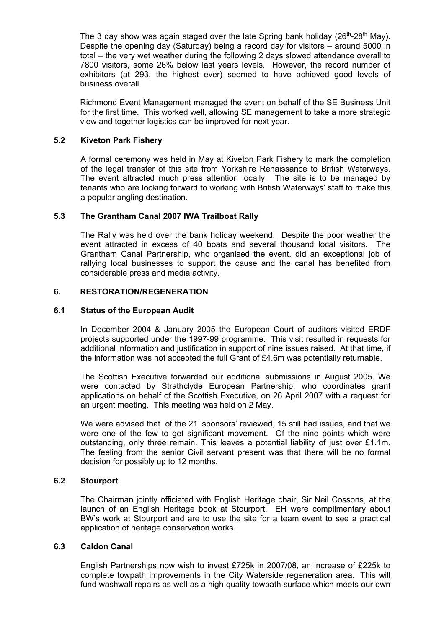The 3 day show was again staged over the late Spring bank holiday ( $26<sup>th</sup>$ -28<sup>th</sup> May). Despite the opening day (Saturday) being a record day for visitors – around 5000 in total – the very wet weather during the following 2 days slowed attendance overall to 7800 visitors, some 26% below last years levels. However, the record number of exhibitors (at 293, the highest ever) seemed to have achieved good levels of business overall.

Richmond Event Management managed the event on behalf of the SE Business Unit for the first time. This worked well, allowing SE management to take a more strategic view and together logistics can be improved for next year.

## **5.2 Kiveton Park Fishery**

 A formal ceremony was held in May at Kiveton Park Fishery to mark the completion of the legal transfer of this site from Yorkshire Renaissance to British Waterways. The event attracted much press attention locally. The site is to be managed by tenants who are looking forward to working with British Waterways' staff to make this a popular angling destination.

## **5.3 The Grantham Canal 2007 IWA Trailboat Rally**

 The Rally was held over the bank holiday weekend. Despite the poor weather the event attracted in excess of 40 boats and several thousand local visitors. The Grantham Canal Partnership, who organised the event, did an exceptional job of rallying local businesses to support the cause and the canal has benefited from considerable press and media activity.

## **6. RESTORATION/REGENERATION**

## **6.1 Status of the European Audit**

 In December 2004 & January 2005 the European Court of auditors visited ERDF projects supported under the 1997-99 programme. This visit resulted in requests for additional information and justification in support of nine issues raised. At that time, if the information was not accepted the full Grant of £4.6m was potentially returnable.

 The Scottish Executive forwarded our additional submissions in August 2005. We were contacted by Strathclyde European Partnership, who coordinates grant applications on behalf of the Scottish Executive, on 26 April 2007 with a request for an urgent meeting. This meeting was held on 2 May.

 We were advised that of the 21 'sponsors' reviewed, 15 still had issues, and that we were one of the few to get significant movement. Of the nine points which were outstanding, only three remain. This leaves a potential liability of just over £1.1m. The feeling from the senior Civil servant present was that there will be no formal decision for possibly up to 12 months.

#### **6.2 Stourport**

 The Chairman jointly officiated with English Heritage chair, Sir Neil Cossons, at the launch of an English Heritage book at Stourport. EH were complimentary about BW's work at Stourport and are to use the site for a team event to see a practical application of heritage conservation works.

#### **6.3 Caldon Canal**

 English Partnerships now wish to invest £725k in 2007/08, an increase of £225k to complete towpath improvements in the City Waterside regeneration area. This will fund washwall repairs as well as a high quality towpath surface which meets our own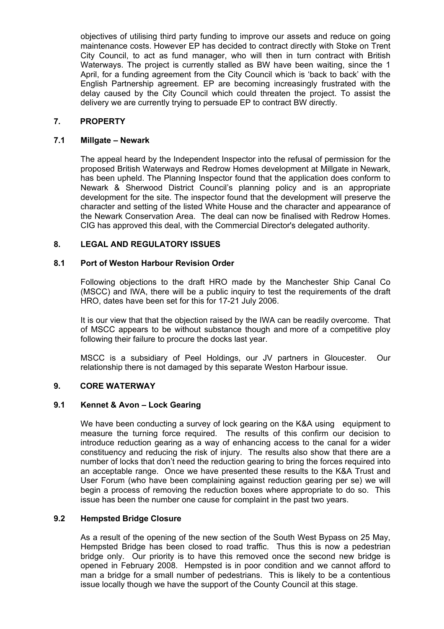objectives of utilising third party funding to improve our assets and reduce on going maintenance costs. However EP has decided to contract directly with Stoke on Trent City Council, to act as fund manager, who will then in turn contract with British Waterways. The project is currently stalled as BW have been waiting, since the 1 April, for a funding agreement from the City Council which is 'back to back' with the English Partnership agreement. EP are becoming increasingly frustrated with the delay caused by the City Council which could threaten the project. To assist the delivery we are currently trying to persuade EP to contract BW directly.

## **7. PROPERTY**

## **7.1 Millgate – Newark**

 The appeal heard by the Independent Inspector into the refusal of permission for the proposed British Waterways and Redrow Homes development at Millgate in Newark, has been upheld. The Planning Inspector found that the application does conform to Newark & Sherwood District Council's planning policy and is an appropriate development for the site. The inspector found that the development will preserve the character and setting of the listed White House and the character and appearance of the Newark Conservation Area. The deal can now be finalised with Redrow Homes. CIG has approved this deal, with the Commercial Director's delegated authority.

## **8. LEGAL AND REGULATORY ISSUES**

## **8.1 Port of Weston Harbour Revision Order**

 Following objections to the draft HRO made by the Manchester Ship Canal Co (MSCC) and IWA, there will be a public inquiry to test the requirements of the draft HRO, dates have been set for this for 17-21 July 2006.

 It is our view that that the objection raised by the IWA can be readily overcome. That of MSCC appears to be without substance though and more of a competitive ploy following their failure to procure the docks last year.

 MSCC is a subsidiary of Peel Holdings, our JV partners in Gloucester. Our relationship there is not damaged by this separate Weston Harbour issue.

#### **9. CORE WATERWAY**

## **9.1 Kennet & Avon – Lock Gearing**

We have been conducting a survey of lock gearing on the K&A using equipment to measure the turning force required. The results of this confirm our decision to introduce reduction gearing as a way of enhancing access to the canal for a wider constituency and reducing the risk of injury. The results also show that there are a number of locks that don't need the reduction gearing to bring the forces required into an acceptable range. Once we have presented these results to the K&A Trust and User Forum (who have been complaining against reduction gearing per se) we will begin a process of removing the reduction boxes where appropriate to do so. This issue has been the number one cause for complaint in the past two years.

## **9.2 Hempsted Bridge Closure**

 As a result of the opening of the new section of the South West Bypass on 25 May, Hempsted Bridge has been closed to road traffic. Thus this is now a pedestrian bridge only. Our priority is to have this removed once the second new bridge is opened in February 2008. Hempsted is in poor condition and we cannot afford to man a bridge for a small number of pedestrians. This is likely to be a contentious issue locally though we have the support of the County Council at this stage.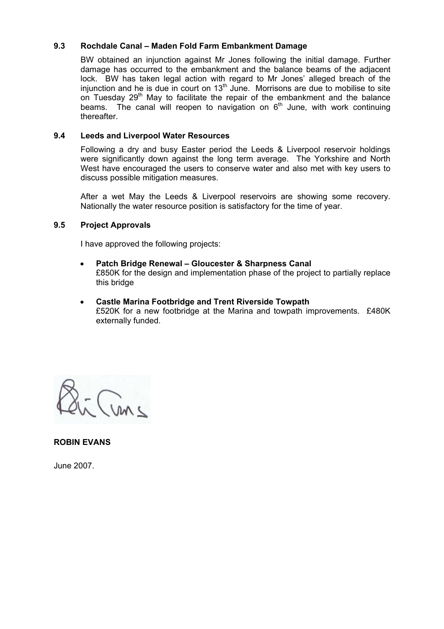## **9.3 Rochdale Canal – Maden Fold Farm Embankment Damage**

BW obtained an injunction against Mr Jones following the initial damage. Further damage has occurred to the embankment and the balance beams of the adjacent lock. BW has taken legal action with regard to Mr Jones' alleged breach of the injunction and he is due in court on 13<sup>th</sup> June. Morrisons are due to mobilise to site on Tuesday  $29<sup>th</sup>$  May to facilitate the repair of the embankment and the balance beams. The canal will reopen to navigation on  $6<sup>th</sup>$  June, with work continuing thereafter.

## **9.4 Leeds and Liverpool Water Resources**

Following a dry and busy Easter period the Leeds & Liverpool reservoir holdings were significantly down against the long term average. The Yorkshire and North West have encouraged the users to conserve water and also met with key users to discuss possible mitigation measures.

After a wet May the Leeds & Liverpool reservoirs are showing some recovery. Nationally the water resource position is satisfactory for the time of year.

## **9.5 Project Approvals**

I have approved the following projects:

- **Patch Bridge Renewal Gloucester & Sharpness Canal**  £850K for the design and implementation phase of the project to partially replace this bridge
- **Castle Marina Footbridge and Trent Riverside Towpath**  £520K for a new footbridge at the Marina and towpath improvements. £480K externally funded.

i Tuns

## **ROBIN EVANS**

June 2007.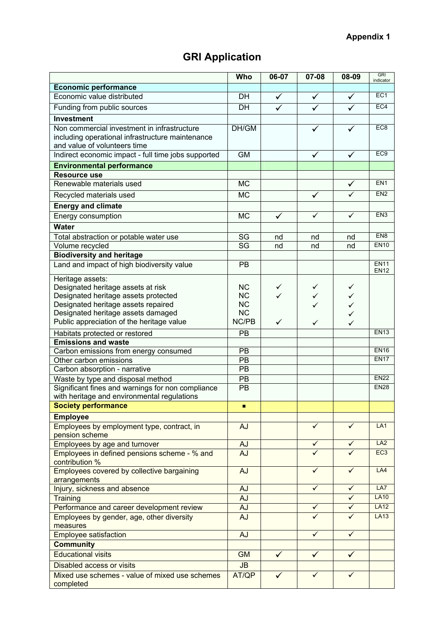# **GRI Application**

|                                                                           | Who                               | 06-07        | 07-08        | 08-09             | <b>GRI</b><br>indicator    |
|---------------------------------------------------------------------------|-----------------------------------|--------------|--------------|-------------------|----------------------------|
| <b>Economic performance</b>                                               |                                   |              |              |                   |                            |
| Economic value distributed                                                | DH                                | ✓            | ✓            | ✓                 | EC <sub>1</sub>            |
| Funding from public sources                                               | DH                                | ✓            | ✓            | $\checkmark$      | EC <sub>4</sub>            |
| Investment                                                                |                                   |              |              |                   |                            |
| Non commercial investment in infrastructure                               | DH/GM                             |              | ✓            | $\checkmark$      | EC <sub>8</sub>            |
| including operational infrastructure maintenance                          |                                   |              |              |                   |                            |
| and value of volunteers time                                              |                                   |              |              |                   |                            |
| Indirect economic impact - full time jobs supported                       | <b>GM</b>                         |              | ✓            | $\checkmark$      | EC <sub>9</sub>            |
| <b>Environmental performance</b>                                          |                                   |              |              |                   |                            |
| <b>Resource use</b>                                                       |                                   |              |              |                   |                            |
| Renewable materials used                                                  | <b>MC</b>                         |              |              | ✓                 | EN <sub>1</sub>            |
| Recycled materials used                                                   | <b>MC</b>                         |              | ✓            | ✓                 | EN <sub>2</sub>            |
| <b>Energy and climate</b>                                                 |                                   |              |              |                   |                            |
| Energy consumption                                                        | <b>MC</b>                         | $\checkmark$ | $\checkmark$ | $\checkmark$      | EN <sub>3</sub>            |
| <b>Water</b>                                                              |                                   |              |              |                   |                            |
| Total abstraction or potable water use                                    | SG                                | nd           | nd           | nd                | EN8                        |
| Volume recycled                                                           | $\overline{\mathsf{S}}\mathsf{G}$ | nd           | nd           | nd                | <b>EN10</b>                |
| <b>Biodiversity and heritage</b>                                          |                                   |              |              |                   |                            |
| Land and impact of high biodiversity value                                | PB                                |              |              |                   | <b>EN11</b><br><b>EN12</b> |
| Heritage assets:                                                          |                                   |              |              |                   |                            |
| Designated heritage assets at risk                                        | <b>NC</b>                         | ✓            | ✓            | ✓                 |                            |
| Designated heritage assets protected                                      | <b>NC</b>                         |              |              | ✓                 |                            |
| Designated heritage assets repaired<br>Designated heritage assets damaged | <b>NC</b><br><b>NC</b>            |              |              | ✓                 |                            |
| Public appreciation of the heritage value                                 | NC/PB                             | ✓            | ✓            | $\checkmark$<br>✓ |                            |
|                                                                           |                                   |              |              |                   | <b>EN13</b>                |
| Habitats protected or restored<br><b>Emissions and waste</b>              | <b>PB</b>                         |              |              |                   |                            |
| Carbon emissions from energy consumed                                     | <b>PB</b>                         |              |              |                   | <b>EN16</b>                |
| Other carbon emissions                                                    | PB                                |              |              |                   | <b>EN17</b>                |
| Carbon absorption - narrative                                             | PB                                |              |              |                   |                            |
| Waste by type and disposal method                                         | PB                                |              |              |                   | <b>EN22</b>                |
| Significant fines and warnings for non compliance                         | PB                                |              |              |                   | <b>EN28</b>                |
| with heritage and environmental regulations                               |                                   |              |              |                   |                            |
| <b>Society performance</b>                                                |                                   |              |              |                   |                            |
| <b>Employee</b>                                                           |                                   |              |              |                   |                            |
| Employees by employment type, contract, in<br>pension scheme              | <b>AJ</b>                         |              | $\checkmark$ | ✓                 | LA <sub>1</sub>            |
| Employees by age and turnover                                             | <b>AJ</b>                         |              | ✓            | ✓                 | LA2                        |
| Employees in defined pensions scheme - % and<br>contribution %            | <b>AJ</b>                         |              | ✓            | ✓                 | EC <sub>3</sub>            |
| Employees covered by collective bargaining                                | AJ                                |              | $\checkmark$ | $\checkmark$      | LA4                        |
| arrangements                                                              |                                   |              |              |                   |                            |
| Injury, sickness and absence                                              | <b>AJ</b>                         |              | $\checkmark$ | $\checkmark$      | LA7                        |
| Training                                                                  | <b>AJ</b>                         |              |              | ✓                 | <b>LA10</b>                |
| Performance and career development review                                 | <b>AJ</b>                         |              | ✓            | ✓                 | <b>LA12</b>                |
| Employees by gender, age, other diversity                                 | <b>AJ</b>                         |              | ✓            | $\checkmark$      | <b>LA13</b>                |
| measures                                                                  |                                   |              |              |                   |                            |
| <b>Employee satisfaction</b>                                              | <b>AJ</b>                         |              | $\checkmark$ | $\checkmark$      |                            |
| <b>Community</b>                                                          |                                   |              |              |                   |                            |
| <b>Educational visits</b>                                                 | <b>GM</b>                         | $\checkmark$ | $\checkmark$ | $\checkmark$      |                            |
| Disabled access or visits                                                 | JB                                |              |              |                   |                            |
| Mixed use schemes - value of mixed use schemes<br>completed               | AT/QP                             | ✓            | ✓            | ✓                 |                            |